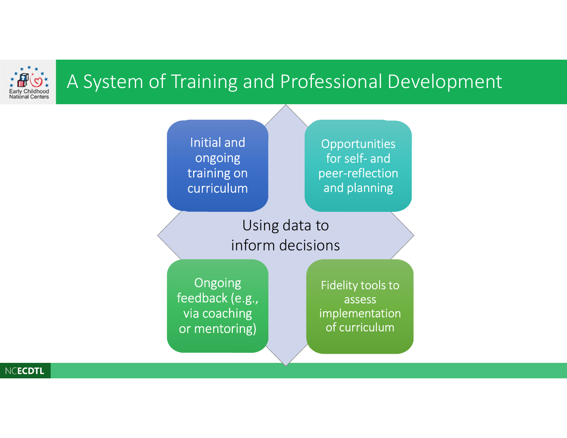

#### A System of Training and Professional Development



NCECDTL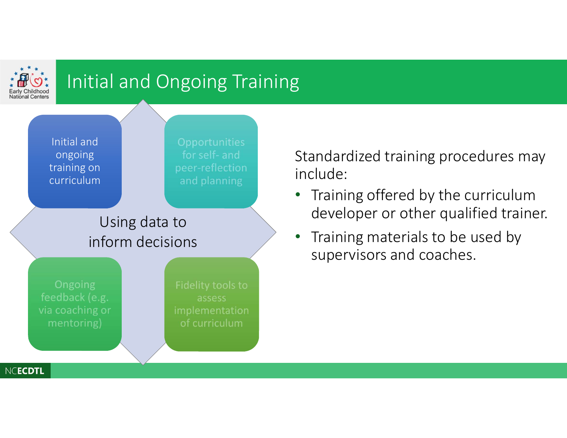

# Initial and Ongoing Training



Standardized training procedures may include:

- Training offered by the curriculum developer or other qualified trainer.
- Training materials to be used by supervisors and coaches.

NCECDTL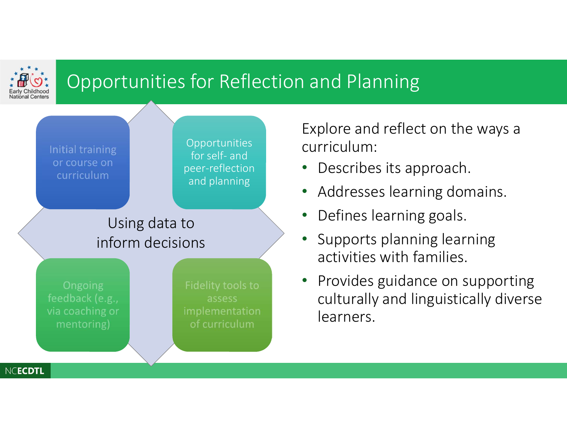

## Opportunities for Reflection and Planning



Explore and reflect on the ways a curriculum:

- Describes its approach.
- Addresses learning domains.
- Defines learning goals.
- Supports planning learning activities with families.
- Provides guidance on supporting culturally and linguistically diverse learners.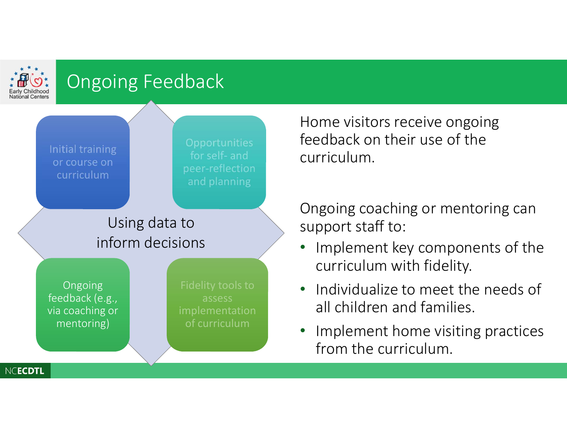

# Ongoing Feedback



Home visitors receive ongoing feedback on their use of the curriculum.

Ongoing coaching or mentoring can support staff to:

- Implement key components of the curriculum with fidelity.
- Individualize to meet the needs of all children and families.
- Implement home visiting practices from the curriculum.